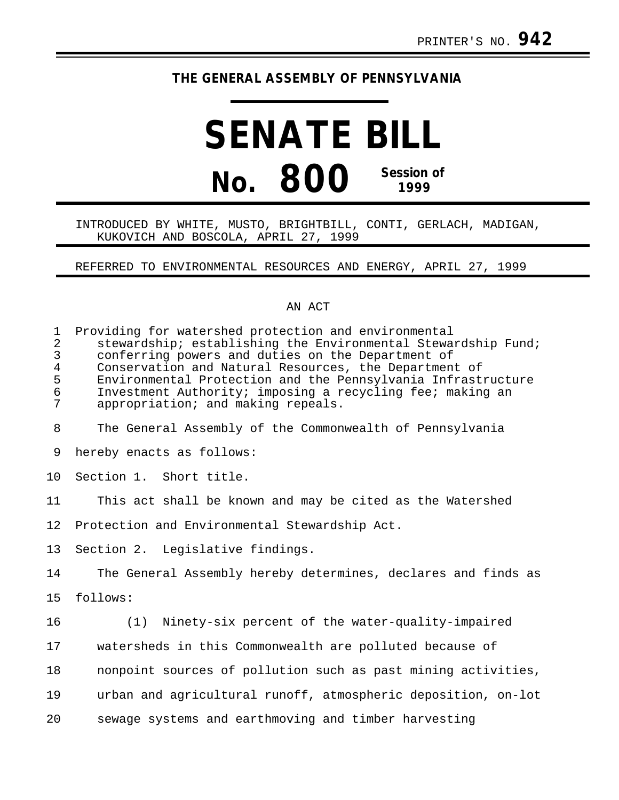## **THE GENERAL ASSEMBLY OF PENNSYLVANIA**

# **SENATE BILL No. 800 Session of 1999**

### INTRODUCED BY WHITE, MUSTO, BRIGHTBILL, CONTI, GERLACH, MADIGAN, KUKOVICH AND BOSCOLA, APRIL 27, 1999

REFERRED TO ENVIRONMENTAL RESOURCES AND ENERGY, APRIL 27, 1999

#### AN ACT

| 1<br>$\overline{2}$<br>$\overline{3}$<br>$\overline{4}$<br>5<br>6<br>7 | Providing for watershed protection and environmental<br>stewardship; establishing the Environmental Stewardship Fund;<br>conferring powers and duties on the Department of<br>Conservation and Natural Resources, the Department of<br>Environmental Protection and the Pennsylvania Infrastructure<br>Investment Authority; imposing a recycling fee; making an<br>appropriation; and making repeals. |
|------------------------------------------------------------------------|--------------------------------------------------------------------------------------------------------------------------------------------------------------------------------------------------------------------------------------------------------------------------------------------------------------------------------------------------------------------------------------------------------|
| 8                                                                      | The General Assembly of the Commonwealth of Pennsylvania                                                                                                                                                                                                                                                                                                                                               |
| 9                                                                      | hereby enacts as follows:                                                                                                                                                                                                                                                                                                                                                                              |
| 10                                                                     | Section 1. Short title.                                                                                                                                                                                                                                                                                                                                                                                |
| 11                                                                     | This act shall be known and may be cited as the Watershed                                                                                                                                                                                                                                                                                                                                              |
| 12                                                                     | Protection and Environmental Stewardship Act.                                                                                                                                                                                                                                                                                                                                                          |
| 13                                                                     | Section 2. Legislative findings.                                                                                                                                                                                                                                                                                                                                                                       |
| 14                                                                     | The General Assembly hereby determines, declares and finds as                                                                                                                                                                                                                                                                                                                                          |
| 15                                                                     | follows:                                                                                                                                                                                                                                                                                                                                                                                               |
| 16                                                                     | Ninety-six percent of the water-quality-impaired<br>(1)                                                                                                                                                                                                                                                                                                                                                |
| 17                                                                     | watersheds in this Commonwealth are polluted because of                                                                                                                                                                                                                                                                                                                                                |
| 18                                                                     | nonpoint sources of pollution such as past mining activities,                                                                                                                                                                                                                                                                                                                                          |
| 19                                                                     | urban and agricultural runoff, atmospheric deposition, on-lot                                                                                                                                                                                                                                                                                                                                          |
| 20                                                                     | sewage systems and earthmoving and timber harvesting                                                                                                                                                                                                                                                                                                                                                   |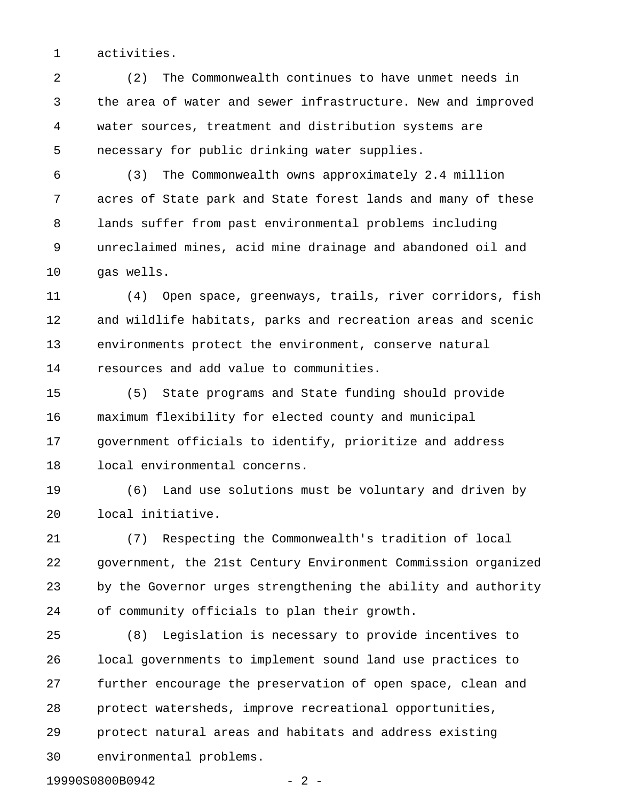1 activities.

2 (2) The Commonwealth continues to have unmet needs in 3 the area of water and sewer infrastructure. New and improved 4 water sources, treatment and distribution systems are 5 necessary for public drinking water supplies.

6 (3) The Commonwealth owns approximately 2.4 million 7 acres of State park and State forest lands and many of these 8 lands suffer from past environmental problems including 9 unreclaimed mines, acid mine drainage and abandoned oil and 10 gas wells.

11 (4) Open space, greenways, trails, river corridors, fish 12 and wildlife habitats, parks and recreation areas and scenic 13 environments protect the environment, conserve natural 14 resources and add value to communities.

15 (5) State programs and State funding should provide 16 maximum flexibility for elected county and municipal 17 government officials to identify, prioritize and address 18 local environmental concerns.

19 (6) Land use solutions must be voluntary and driven by 20 local initiative.

21 (7) Respecting the Commonwealth's tradition of local 22 government, the 21st Century Environment Commission organized 23 by the Governor urges strengthening the ability and authority 24 of community officials to plan their growth.

25 (8) Legislation is necessary to provide incentives to 26 local governments to implement sound land use practices to 27 further encourage the preservation of open space, clean and 28 protect watersheds, improve recreational opportunities, 29 protect natural areas and habitats and address existing 30 environmental problems.

19990S0800B0942 - 2 -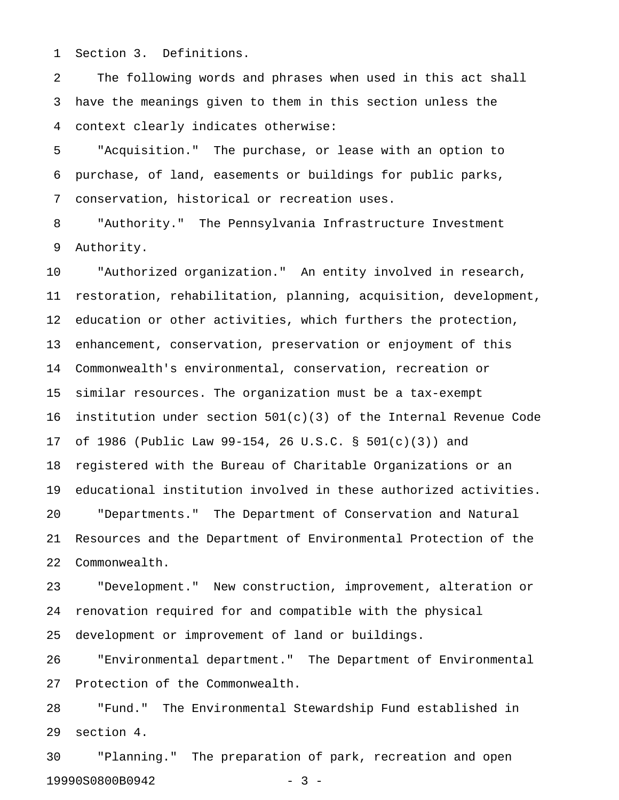1 Section 3. Definitions.

2 The following words and phrases when used in this act shall 3 have the meanings given to them in this section unless the 4 context clearly indicates otherwise:

5 "Acquisition." The purchase, or lease with an option to 6 purchase, of land, easements or buildings for public parks, 7 conservation, historical or recreation uses.

8 "Authority." The Pennsylvania Infrastructure Investment 9 Authority.

10 "Authorized organization." An entity involved in research, 11 restoration, rehabilitation, planning, acquisition, development, 12 education or other activities, which furthers the protection, 13 enhancement, conservation, preservation or enjoyment of this 14 Commonwealth's environmental, conservation, recreation or 15 similar resources. The organization must be a tax-exempt 16 institution under section  $501(c)(3)$  of the Internal Revenue Code 17 of 1986 (Public Law 99-154, 26 U.S.C. § 501(c)(3)) and 18 registered with the Bureau of Charitable Organizations or an 19 educational institution involved in these authorized activities. 20 "Departments." The Department of Conservation and Natural 21 Resources and the Department of Environmental Protection of the 22 Commonwealth.

23 "Development." New construction, improvement, alteration or 24 renovation required for and compatible with the physical 25 development or improvement of land or buildings.

26 "Environmental department." The Department of Environmental 27 Protection of the Commonwealth.

28 "Fund." The Environmental Stewardship Fund established in 29 section 4.

30 "Planning." The preparation of park, recreation and open 19990S0800B0942 - 3 -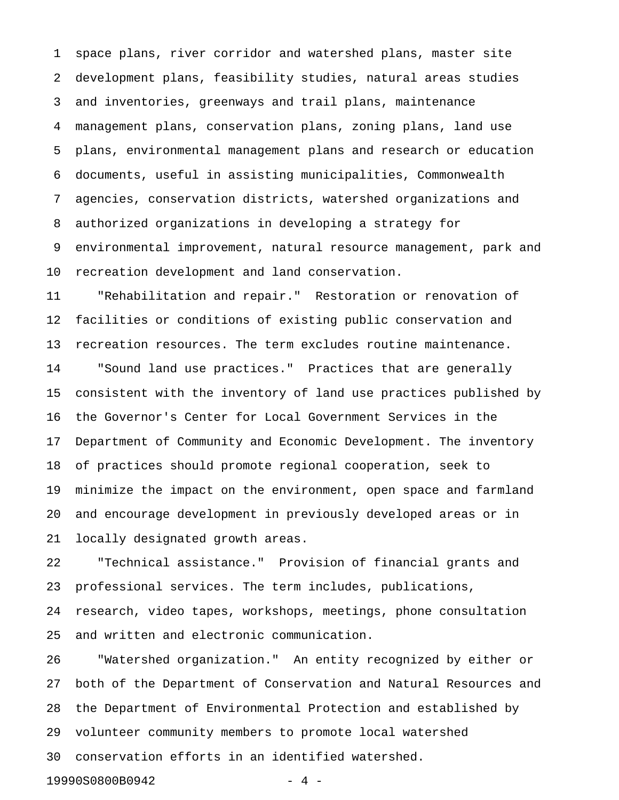1 space plans, river corridor and watershed plans, master site 2 development plans, feasibility studies, natural areas studies 3 and inventories, greenways and trail plans, maintenance 4 management plans, conservation plans, zoning plans, land use 5 plans, environmental management plans and research or education 6 documents, useful in assisting municipalities, Commonwealth 7 agencies, conservation districts, watershed organizations and 8 authorized organizations in developing a strategy for 9 environmental improvement, natural resource management, park and 10 recreation development and land conservation.

11 "Rehabilitation and repair." Restoration or renovation of 12 facilities or conditions of existing public conservation and 13 recreation resources. The term excludes routine maintenance. 14 "Sound land use practices." Practices that are generally 15 consistent with the inventory of land use practices published by 16 the Governor's Center for Local Government Services in the 17 Department of Community and Economic Development. The inventory 18 of practices should promote regional cooperation, seek to 19 minimize the impact on the environment, open space and farmland 20 and encourage development in previously developed areas or in 21 locally designated growth areas.

22 "Technical assistance." Provision of financial grants and 23 professional services. The term includes, publications, 24 research, video tapes, workshops, meetings, phone consultation 25 and written and electronic communication.

26 "Watershed organization." An entity recognized by either or 27 both of the Department of Conservation and Natural Resources and 28 the Department of Environmental Protection and established by 29 volunteer community members to promote local watershed 30 conservation efforts in an identified watershed.

19990S0800B0942 - 4 -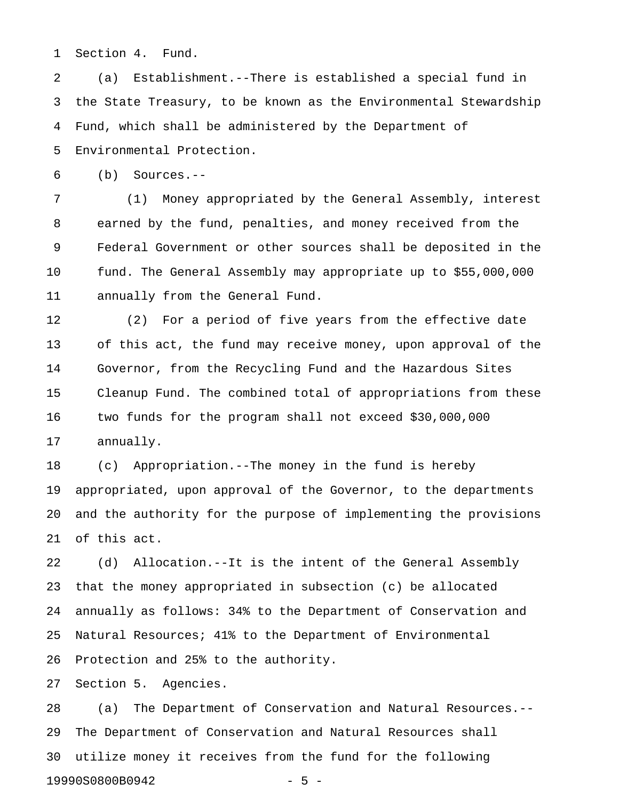1 Section 4. Fund.

2 (a) Establishment.--There is established a special fund in 3 the State Treasury, to be known as the Environmental Stewardship 4 Fund, which shall be administered by the Department of 5 Environmental Protection.

6 (b) Sources.--

7 (1) Money appropriated by the General Assembly, interest 8 earned by the fund, penalties, and money received from the 9 Federal Government or other sources shall be deposited in the 10 fund. The General Assembly may appropriate up to \$55,000,000 11 annually from the General Fund.

12 (2) For a period of five years from the effective date 13 of this act, the fund may receive money, upon approval of the 14 Governor, from the Recycling Fund and the Hazardous Sites 15 Cleanup Fund. The combined total of appropriations from these 16 two funds for the program shall not exceed \$30,000,000 17 annually.

18 (c) Appropriation.--The money in the fund is hereby 19 appropriated, upon approval of the Governor, to the departments 20 and the authority for the purpose of implementing the provisions 21 of this act.

22 (d) Allocation.--It is the intent of the General Assembly 23 that the money appropriated in subsection (c) be allocated 24 annually as follows: 34% to the Department of Conservation and 25 Natural Resources; 41% to the Department of Environmental 26 Protection and 25% to the authority.

27 Section 5. Agencies.

28 (a) The Department of Conservation and Natural Resources.-- 29 The Department of Conservation and Natural Resources shall 30 utilize money it receives from the fund for the following 19990S0800B0942 - 5 -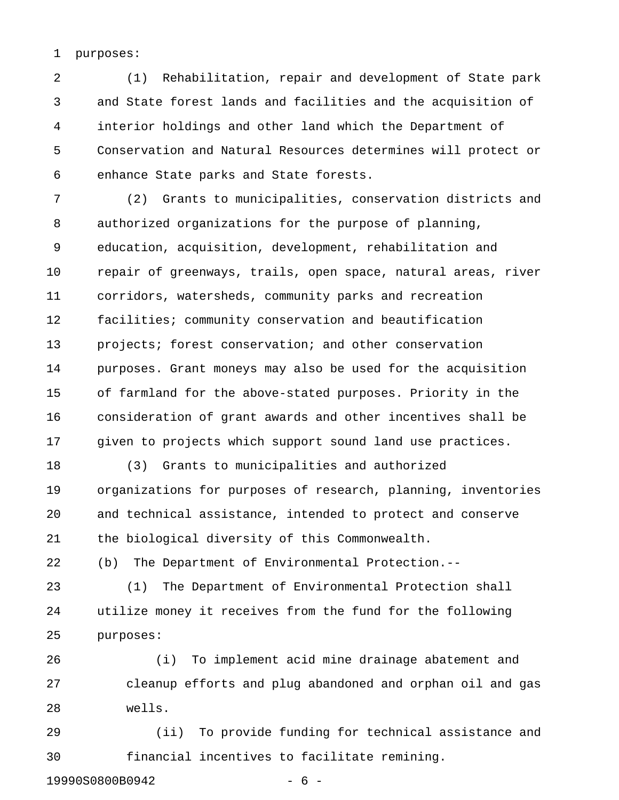#### 1 purposes:

2 (1) Rehabilitation, repair and development of State park 3 and State forest lands and facilities and the acquisition of 4 interior holdings and other land which the Department of 5 Conservation and Natural Resources determines will protect or 6 enhance State parks and State forests.

7 (2) Grants to municipalities, conservation districts and 8 authorized organizations for the purpose of planning, 9 education, acquisition, development, rehabilitation and 10 repair of greenways, trails, open space, natural areas, river 11 corridors, watersheds, community parks and recreation 12 facilities; community conservation and beautification 13 projects; forest conservation; and other conservation 14 purposes. Grant moneys may also be used for the acquisition 15 of farmland for the above-stated purposes. Priority in the 16 consideration of grant awards and other incentives shall be 17 given to projects which support sound land use practices.

18 (3) Grants to municipalities and authorized 19 organizations for purposes of research, planning, inventories 20 and technical assistance, intended to protect and conserve 21 the biological diversity of this Commonwealth.

22 (b) The Department of Environmental Protection.--

23 (1) The Department of Environmental Protection shall 24 utilize money it receives from the fund for the following 25 purposes:

26 (i) To implement acid mine drainage abatement and 27 cleanup efforts and plug abandoned and orphan oil and gas 28 wells.

29 (ii) To provide funding for technical assistance and 30 financial incentives to facilitate remining.

19990S0800B0942 - 6 -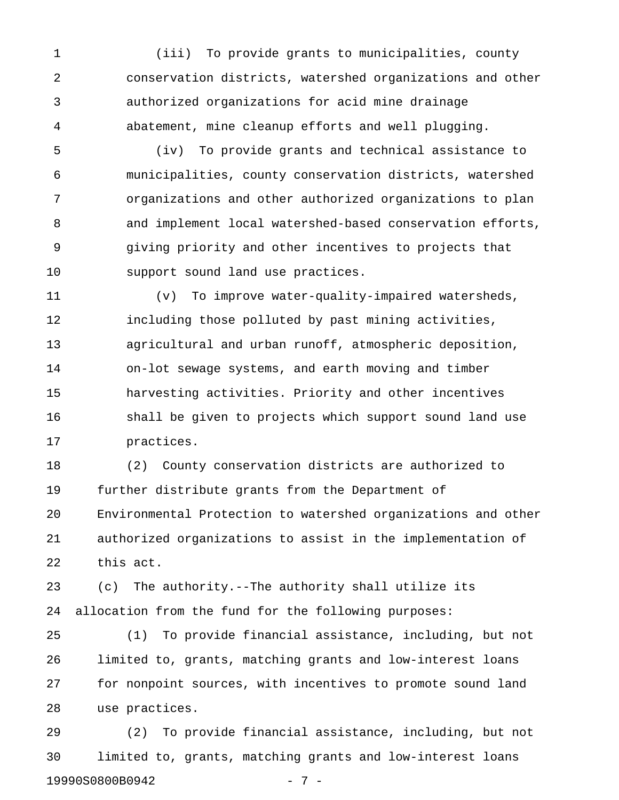1 (iii) To provide grants to municipalities, county 2 conservation districts, watershed organizations and other 3 authorized organizations for acid mine drainage 4 abatement, mine cleanup efforts and well plugging.

5 (iv) To provide grants and technical assistance to 6 municipalities, county conservation districts, watershed 7 organizations and other authorized organizations to plan 8 and implement local watershed-based conservation efforts, 9 giving priority and other incentives to projects that 10 support sound land use practices.

11 (v) To improve water-quality-impaired watersheds, 12 including those polluted by past mining activities, 13 agricultural and urban runoff, atmospheric deposition, 14 on-lot sewage systems, and earth moving and timber 15 harvesting activities. Priority and other incentives 16 shall be given to projects which support sound land use 17 practices.

18 (2) County conservation districts are authorized to 19 further distribute grants from the Department of 20 Environmental Protection to watershed organizations and other 21 authorized organizations to assist in the implementation of 22 this act.

23 (c) The authority.--The authority shall utilize its 24 allocation from the fund for the following purposes:

25 (1) To provide financial assistance, including, but not 26 limited to, grants, matching grants and low-interest loans 27 for nonpoint sources, with incentives to promote sound land 28 use practices.

29 (2) To provide financial assistance, including, but not 30 limited to, grants, matching grants and low-interest loans 19990S0800B0942 - 7 -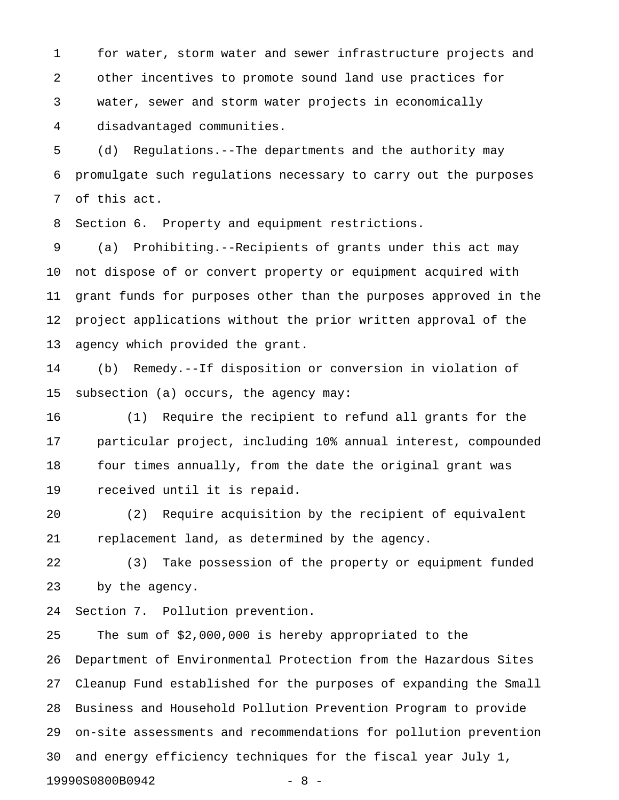1 for water, storm water and sewer infrastructure projects and 2 other incentives to promote sound land use practices for 3 water, sewer and storm water projects in economically 4 disadvantaged communities.

5 (d) Regulations.--The departments and the authority may 6 promulgate such regulations necessary to carry out the purposes 7 of this act.

8 Section 6. Property and equipment restrictions.

9 (a) Prohibiting.--Recipients of grants under this act may 10 not dispose of or convert property or equipment acquired with 11 grant funds for purposes other than the purposes approved in the 12 project applications without the prior written approval of the 13 agency which provided the grant.

14 (b) Remedy.--If disposition or conversion in violation of 15 subsection (a) occurs, the agency may:

16 (1) Require the recipient to refund all grants for the 17 particular project, including 10% annual interest, compounded 18 four times annually, from the date the original grant was 19 received until it is repaid.

20 (2) Require acquisition by the recipient of equivalent 21 replacement land, as determined by the agency.

22 (3) Take possession of the property or equipment funded 23 by the agency.

24 Section 7. Pollution prevention.

25 The sum of \$2,000,000 is hereby appropriated to the 26 Department of Environmental Protection from the Hazardous Sites 27 Cleanup Fund established for the purposes of expanding the Small 28 Business and Household Pollution Prevention Program to provide 29 on-site assessments and recommendations for pollution prevention 30 and energy efficiency techniques for the fiscal year July 1, 19990S0800B0942 - 8 -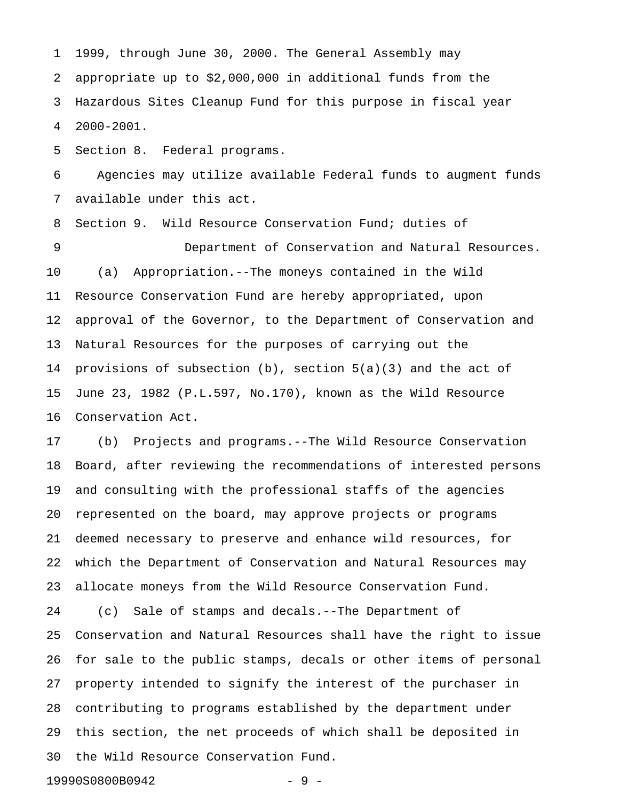1 1999, through June 30, 2000. The General Assembly may 2 appropriate up to \$2,000,000 in additional funds from the 3 Hazardous Sites Cleanup Fund for this purpose in fiscal year 4 2000-2001.

5 Section 8. Federal programs.

6 Agencies may utilize available Federal funds to augment funds 7 available under this act.

8 Section 9. Wild Resource Conservation Fund; duties of 9 Department of Conservation and Natural Resources. 10 (a) Appropriation.--The moneys contained in the Wild 11 Resource Conservation Fund are hereby appropriated, upon 12 approval of the Governor, to the Department of Conservation and 13 Natural Resources for the purposes of carrying out the 14 provisions of subsection  $(b)$ , section  $5(a)(3)$  and the act of 15 June 23, 1982 (P.L.597, No.170), known as the Wild Resource 16 Conservation Act.

17 (b) Projects and programs.--The Wild Resource Conservation 18 Board, after reviewing the recommendations of interested persons 19 and consulting with the professional staffs of the agencies 20 represented on the board, may approve projects or programs 21 deemed necessary to preserve and enhance wild resources, for 22 which the Department of Conservation and Natural Resources may 23 allocate moneys from the Wild Resource Conservation Fund.

24 (c) Sale of stamps and decals.--The Department of 25 Conservation and Natural Resources shall have the right to issue 26 for sale to the public stamps, decals or other items of personal 27 property intended to signify the interest of the purchaser in 28 contributing to programs established by the department under 29 this section, the net proceeds of which shall be deposited in 30 the Wild Resource Conservation Fund.

19990S0800B0942 - 9 -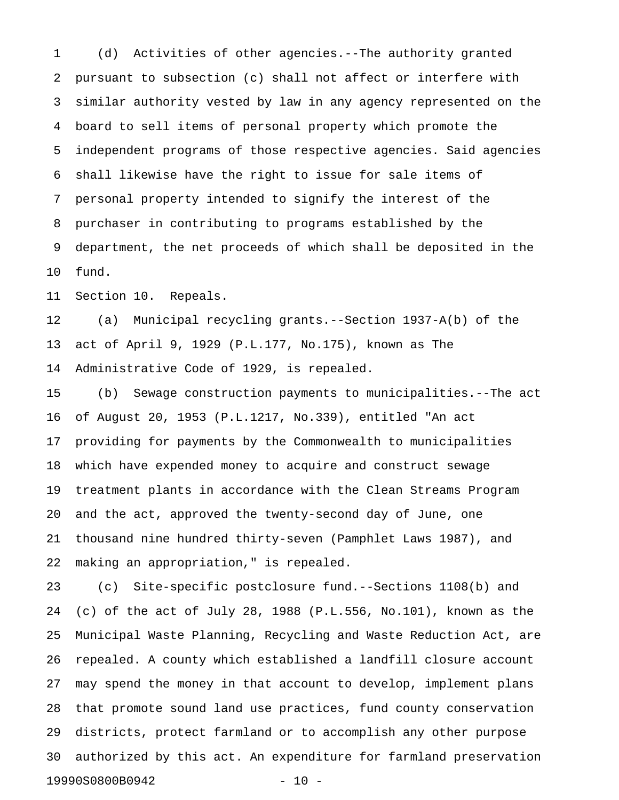1 (d) Activities of other agencies.--The authority granted 2 pursuant to subsection (c) shall not affect or interfere with 3 similar authority vested by law in any agency represented on the 4 board to sell items of personal property which promote the 5 independent programs of those respective agencies. Said agencies 6 shall likewise have the right to issue for sale items of 7 personal property intended to signify the interest of the 8 purchaser in contributing to programs established by the 9 department, the net proceeds of which shall be deposited in the 10 fund.

11 Section 10. Repeals.

12 (a) Municipal recycling grants.--Section 1937-A(b) of the 13 act of April 9, 1929 (P.L.177, No.175), known as The 14 Administrative Code of 1929, is repealed.

15 (b) Sewage construction payments to municipalities.--The act 16 of August 20, 1953 (P.L.1217, No.339), entitled "An act 17 providing for payments by the Commonwealth to municipalities 18 which have expended money to acquire and construct sewage 19 treatment plants in accordance with the Clean Streams Program 20 and the act, approved the twenty-second day of June, one 21 thousand nine hundred thirty-seven (Pamphlet Laws 1987), and 22 making an appropriation," is repealed.

23 (c) Site-specific postclosure fund.--Sections 1108(b) and 24 (c) of the act of July 28, 1988 (P.L.556, No.101), known as the 25 Municipal Waste Planning, Recycling and Waste Reduction Act, are 26 repealed. A county which established a landfill closure account 27 may spend the money in that account to develop, implement plans 28 that promote sound land use practices, fund county conservation 29 districts, protect farmland or to accomplish any other purpose 30 authorized by this act. An expenditure for farmland preservation 19990S0800B0942 - 10 -